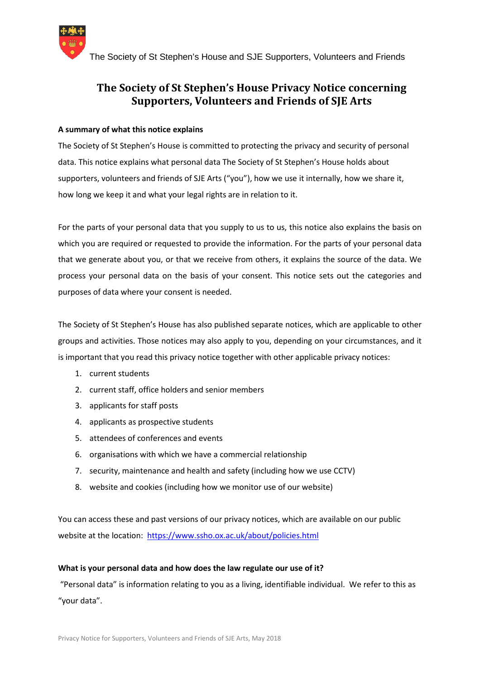

# **The Society of St Stephen's House Privacy Notice concerning Supporters, Volunteers and Friends of SJE Arts**

## **A summary of what this notice explains**

The Society of St Stephen's House is committed to protecting the privacy and security of personal data. This notice explains what personal data The Society of St Stephen's House holds about supporters, volunteers and friends of SJE Arts ("you"), how we use it internally, how we share it, how long we keep it and what your legal rights are in relation to it.

For the parts of your personal data that you supply to us to us, this notice also explains the basis on which you are required or requested to provide the information. For the parts of your personal data that we generate about you, or that we receive from others, it explains the source of the data. We process your personal data on the basis of your consent. This notice sets out the categories and purposes of data where your consent is needed.

The Society of St Stephen's House has also published separate notices, which are applicable to other groups and activities. Those notices may also apply to you, depending on your circumstances, and it is important that you read this privacy notice together with other applicable privacy notices:

- 1. current students
- 2. current staff, office holders and senior members
- 3. applicants for staff posts
- 4. applicants as prospective students
- 5. attendees of conferences and events
- 6. organisations with which we have a commercial relationship
- 7. security, maintenance and health and safety (including how we use CCTV)
- 8. website and cookies (including how we monitor use of our website)

You can access these and past versions of our privacy notices, which are available on our public website at the location: https://www.ssho.ox.ac.uk/about/policies.html

#### **What is your personal data and how does the law regulate our use of it?**

"Personal data" is information relating to you as a living, identifiable individual. We refer to this as "your data".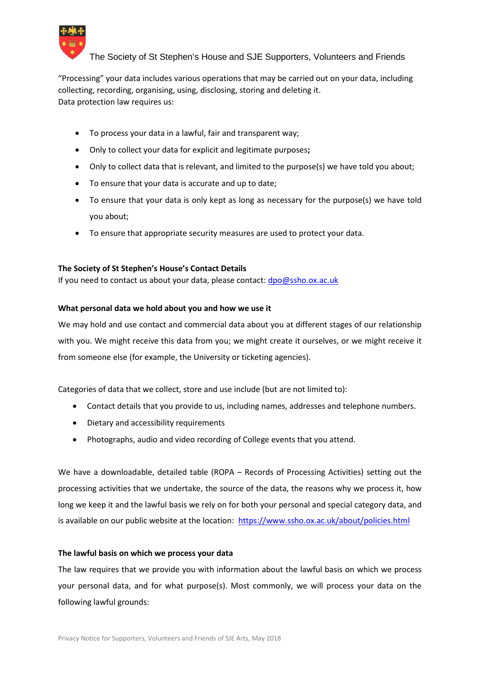

"Processing" your data includes various operations that may be carried out on your data, including collecting, recording, organising, using, disclosing, storing and deleting it. Data protection law requires us:

- To process your data in a lawful, fair and transparent way;
- Only to collect your data for explicit and legitimate purposes**;**
- Only to collect data that is relevant, and limited to the purpose(s) we have told you about;
- To ensure that your data is accurate and up to date;
- To ensure that your data is only kept as long as necessary for the purpose(s) we have told you about;
- To ensure that appropriate security measures are used to protect your data.

## **The Society of St Stephen's House's Contact Details**

If you need to contact us about your data, please contact: dpo@ssho.ox.ac.uk

## **What personal data we hold about you and how we use it**

We may hold and use contact and commercial data about you at different stages of our relationship with you. We might receive this data from you; we might create it ourselves, or we might receive it from someone else (for example, the University or ticketing agencies).

Categories of data that we collect, store and use include (but are not limited to):

- Contact details that you provide to us, including names, addresses and telephone numbers.
- Dietary and accessibility requirements
- Photographs, audio and video recording of College events that you attend.

We have a downloadable, detailed table (ROPA – Records of Processing Activities) setting out the processing activities that we undertake, the source of the data, the reasons why we process it, how long we keep it and the lawful basis we rely on for both your personal and special category data, and is available on our public website at the location: https://www.ssho.ox.ac.uk/about/policies.html

#### **The lawful basis on which we process your data**

The law requires that we provide you with information about the lawful basis on which we process your personal data, and for what purpose(s). Most commonly, we will process your data on the following lawful grounds: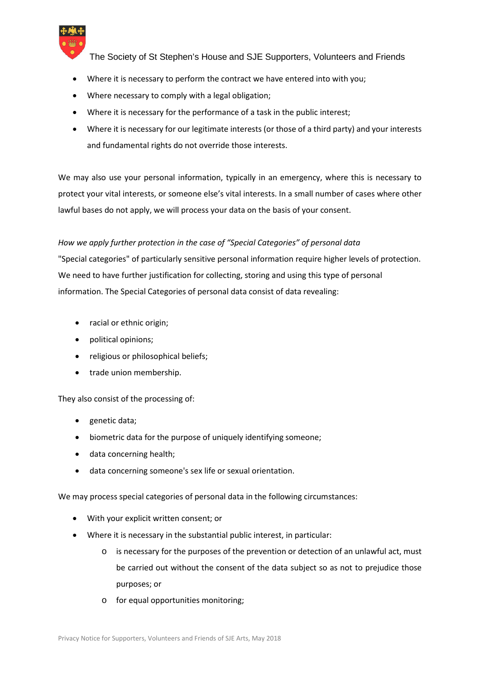

- Where it is necessary to perform the contract we have entered into with you;
- Where necessary to comply with a legal obligation;
- Where it is necessary for the performance of a task in the public interest;
- Where it is necessary for our legitimate interests (or those of a third party) and your interests and fundamental rights do not override those interests.

We may also use your personal information, typically in an emergency, where this is necessary to protect your vital interests, or someone else's vital interests. In a small number of cases where other lawful bases do not apply, we will process your data on the basis of your consent.

# *How we apply further protection in the case of "Special Categories" of personal data*

"Special categories" of particularly sensitive personal information require higher levels of protection. We need to have further justification for collecting, storing and using this type of personal information. The Special Categories of personal data consist of data revealing:

- racial or ethnic origin:
- political opinions;
- religious or philosophical beliefs;
- trade union membership.

# They also consist of the processing of:

- genetic data;
- biometric data for the purpose of uniquely identifying someone;
- data concerning health;
- data concerning someone's sex life or sexual orientation.

We may process special categories of personal data in the following circumstances:

- With your explicit written consent; or
- Where it is necessary in the substantial public interest, in particular:
	- o is necessary for the purposes of the prevention or detection of an unlawful act, must be carried out without the consent of the data subject so as not to prejudice those purposes; or
	- o for equal opportunities monitoring;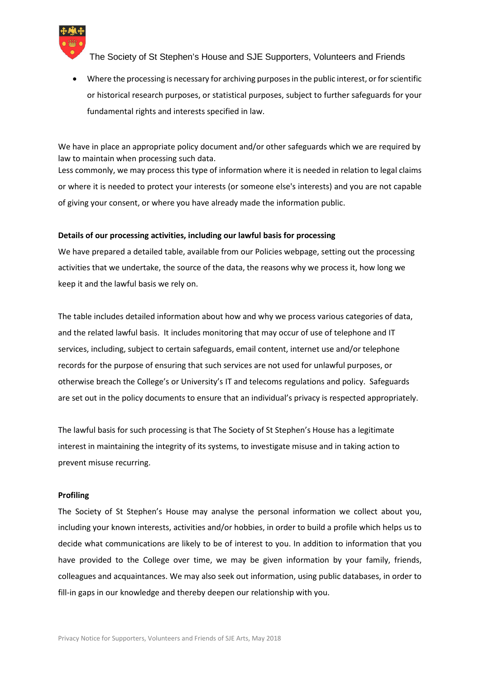

 Where the processing is necessary for archiving purposes in the public interest, or for scientific or historical research purposes, or statistical purposes, subject to further safeguards for your fundamental rights and interests specified in law.

We have in place an appropriate policy document and/or other safeguards which we are required by law to maintain when processing such data. Less commonly, we may process this type of information where it is needed in relation to legal claims or where it is needed to protect your interests (or someone else's interests) and you are not capable of giving your consent, or where you have already made the information public.

#### **Details of our processing activities, including our lawful basis for processing**

We have prepared a detailed table, available from our Policies webpage, setting out the processing activities that we undertake, the source of the data, the reasons why we process it, how long we keep it and the lawful basis we rely on.

The table includes detailed information about how and why we process various categories of data, and the related lawful basis. It includes monitoring that may occur of use of telephone and IT services, including, subject to certain safeguards, email content, internet use and/or telephone records for the purpose of ensuring that such services are not used for unlawful purposes, or otherwise breach the College's or University's IT and telecoms regulations and policy. Safeguards are set out in the policy documents to ensure that an individual's privacy is respected appropriately.

The lawful basis for such processing is that The Society of St Stephen's House has a legitimate interest in maintaining the integrity of its systems, to investigate misuse and in taking action to prevent misuse recurring.

#### **Profiling**

The Society of St Stephen's House may analyse the personal information we collect about you, including your known interests, activities and/or hobbies, in order to build a profile which helps us to decide what communications are likely to be of interest to you. In addition to information that you have provided to the College over time, we may be given information by your family, friends, colleagues and acquaintances. We may also seek out information, using public databases, in order to fill-in gaps in our knowledge and thereby deepen our relationship with you.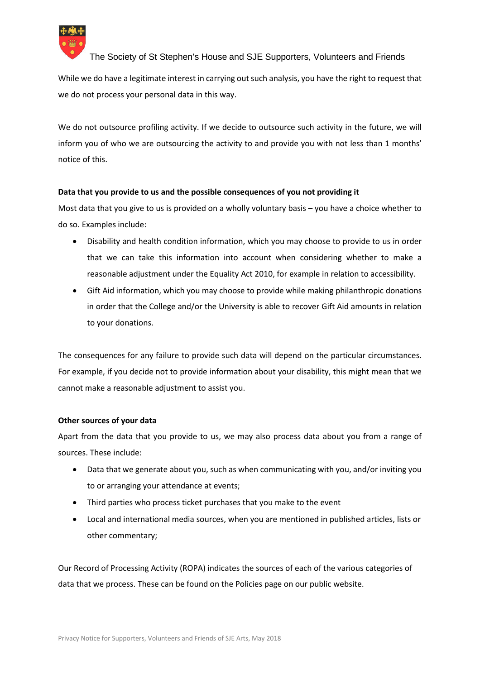

While we do have a legitimate interest in carrying out such analysis, you have the right to request that we do not process your personal data in this way.

We do not outsource profiling activity. If we decide to outsource such activity in the future, we will inform you of who we are outsourcing the activity to and provide you with not less than 1 months' notice of this.

# **Data that you provide to us and the possible consequences of you not providing it**

Most data that you give to us is provided on a wholly voluntary basis – you have a choice whether to do so. Examples include:

- Disability and health condition information, which you may choose to provide to us in order that we can take this information into account when considering whether to make a reasonable adjustment under the Equality Act 2010, for example in relation to accessibility.
- Gift Aid information, which you may choose to provide while making philanthropic donations in order that the College and/or the University is able to recover Gift Aid amounts in relation to your donations.

The consequences for any failure to provide such data will depend on the particular circumstances. For example, if you decide not to provide information about your disability, this might mean that we cannot make a reasonable adjustment to assist you.

# **Other sources of your data**

Apart from the data that you provide to us, we may also process data about you from a range of sources. These include:

- Data that we generate about you, such as when communicating with you, and/or inviting you to or arranging your attendance at events;
- Third parties who process ticket purchases that you make to the event
- Local and international media sources, when you are mentioned in published articles, lists or other commentary;

Our Record of Processing Activity (ROPA) indicates the sources of each of the various categories of data that we process. These can be found on the Policies page on our public website.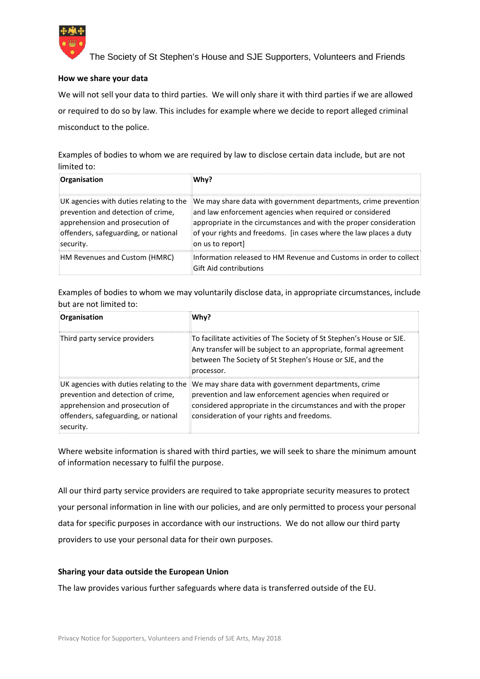

## **How we share your data**

We will not sell your data to third parties. We will only share it with third parties if we are allowed or required to do so by law. This includes for example where we decide to report alleged criminal misconduct to the police.

Examples of bodies to whom we are required by law to disclose certain data include, but are not limited to:

| Organisation                                                                                                                                                          | Whv?                                                                                                                                                                                                                                                                                       |
|-----------------------------------------------------------------------------------------------------------------------------------------------------------------------|--------------------------------------------------------------------------------------------------------------------------------------------------------------------------------------------------------------------------------------------------------------------------------------------|
| UK agencies with duties relating to the<br>prevention and detection of crime,<br>apprehension and prosecution of<br>offenders, safeguarding, or national<br>security. | We may share data with government departments, crime prevention<br>and law enforcement agencies when required or considered<br>appropriate in the circumstances and with the proper consideration<br>of your rights and freedoms. [in cases where the law places a duty<br>on us to report |
| HM Revenues and Custom (HMRC)                                                                                                                                         | Information released to HM Revenue and Customs in order to collect<br>Gift Aid contributions                                                                                                                                                                                               |

Examples of bodies to whom we may voluntarily disclose data, in appropriate circumstances, include but are not limited to:

| Organisation                                                                                                                | Whv?                                                                                                                                                                                                                                                                                   |
|-----------------------------------------------------------------------------------------------------------------------------|----------------------------------------------------------------------------------------------------------------------------------------------------------------------------------------------------------------------------------------------------------------------------------------|
| Third party service providers                                                                                               | To facilitate activities of The Society of St Stephen's House or SJE.<br>Any transfer will be subject to an appropriate, formal agreement<br>between The Society of St Stephen's House or SJE, and the<br>processor.                                                                   |
| prevention and detection of crime,<br>apprehension and prosecution of<br>offenders, safeguarding, or national<br>isecurity. | UK agencies with duties relating to the $\mathbb{I}$ We may share data with government departments, crime<br>prevention and law enforcement agencies when required or<br>considered appropriate in the circumstances and with the proper<br>consideration of your rights and freedoms. |

Where website information is shared with third parties, we will seek to share the minimum amount of information necessary to fulfil the purpose.

All our third party service providers are required to take appropriate security measures to protect your personal information in line with our policies, and are only permitted to process your personal data for specific purposes in accordance with our instructions. We do not allow our third party providers to use your personal data for their own purposes.

#### **Sharing your data outside the European Union**

The law provides various further safeguards where data is transferred outside of the EU.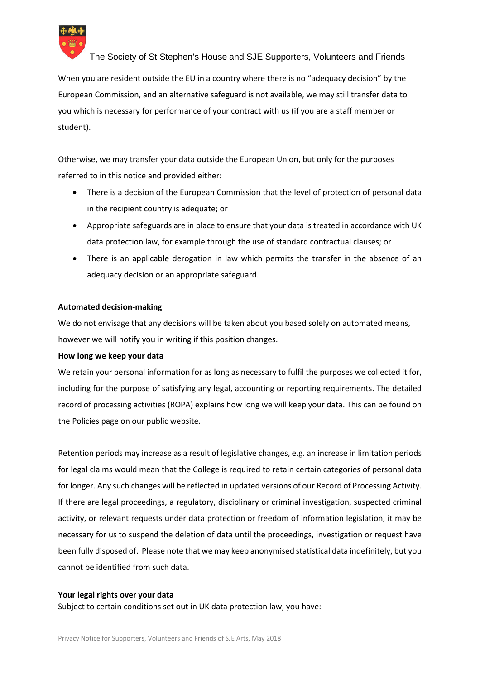

When you are resident outside the EU in a country where there is no "adequacy decision" by the European Commission, and an alternative safeguard is not available, we may still transfer data to you which is necessary for performance of your contract with us (if you are a staff member or student).

Otherwise, we may transfer your data outside the European Union, but only for the purposes referred to in this notice and provided either:

- There is a decision of the European Commission that the level of protection of personal data in the recipient country is adequate; or
- Appropriate safeguards are in place to ensure that your data is treated in accordance with UK data protection law, for example through the use of standard contractual clauses; or
- There is an applicable derogation in law which permits the transfer in the absence of an adequacy decision or an appropriate safeguard.

## **Automated decision-making**

We do not envisage that any decisions will be taken about you based solely on automated means, however we will notify you in writing if this position changes.

#### **How long we keep your data**

We retain your personal information for as long as necessary to fulfil the purposes we collected it for, including for the purpose of satisfying any legal, accounting or reporting requirements. The detailed record of processing activities (ROPA) explains how long we will keep your data. This can be found on the Policies page on our public website.

Retention periods may increase as a result of legislative changes, e.g. an increase in limitation periods for legal claims would mean that the College is required to retain certain categories of personal data for longer. Any such changes will be reflected in updated versions of our Record of Processing Activity. If there are legal proceedings, a regulatory, disciplinary or criminal investigation, suspected criminal activity, or relevant requests under data protection or freedom of information legislation, it may be necessary for us to suspend the deletion of data until the proceedings, investigation or request have been fully disposed of. Please note that we may keep anonymised statistical data indefinitely, but you cannot be identified from such data.

#### **Your legal rights over your data**

Subject to certain conditions set out in UK data protection law, you have: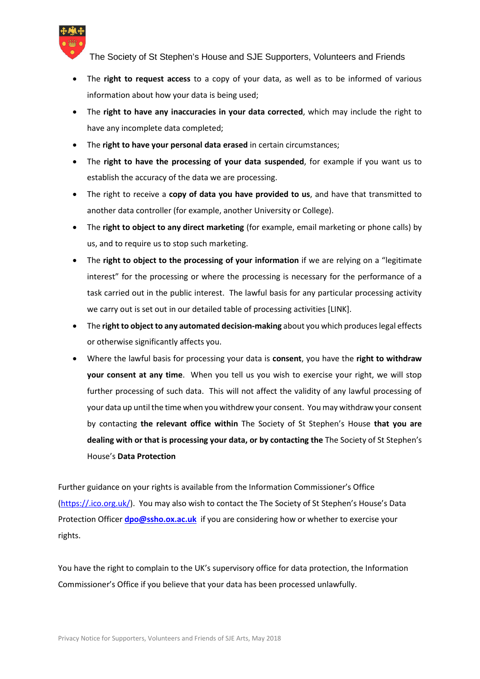

- The **right to request access** to a copy of your data, as well as to be informed of various information about how your data is being used;
- The **right to have any inaccuracies in your data corrected**, which may include the right to have any incomplete data completed;
- The **right to have your personal data erased** in certain circumstances;
- The **right to have the processing of your data suspended**, for example if you want us to establish the accuracy of the data we are processing.
- The right to receive a **copy of data you have provided to us**, and have that transmitted to another data controller (for example, another University or College).
- The **right to object to any direct marketing** (for example, email marketing or phone calls) by us, and to require us to stop such marketing.
- The **right to object to the processing of your information** if we are relying on a "legitimate interest" for the processing or where the processing is necessary for the performance of a task carried out in the public interest. The lawful basis for any particular processing activity we carry out is set out in our detailed table of processing activities [LINK].
- The **right to object to any automated decision-making** about you which produces legal effects or otherwise significantly affects you.
- Where the lawful basis for processing your data is **consent**, you have the **right to withdraw your consent at any time**. When you tell us you wish to exercise your right, we will stop further processing of such data. This will not affect the validity of any lawful processing of your data up until the time when you withdrew your consent. You may withdraw your consent by contacting **the relevant office within** The Society of St Stephen's House **that you are dealing with or that is processing your data, or by contacting the** The Society of St Stephen's House's **Data Protection**

Further guidance on your rights is available from the Information Commissioner's Office (https://.ico.org.uk/). You may also wish to contact the The Society of St Stephen's House's Data Protection Officer **dpo@ssho.ox.ac.uk** if you are considering how or whether to exercise your rights.

You have the right to complain to the UK's supervisory office for data protection, the Information Commissioner's Office if you believe that your data has been processed unlawfully.